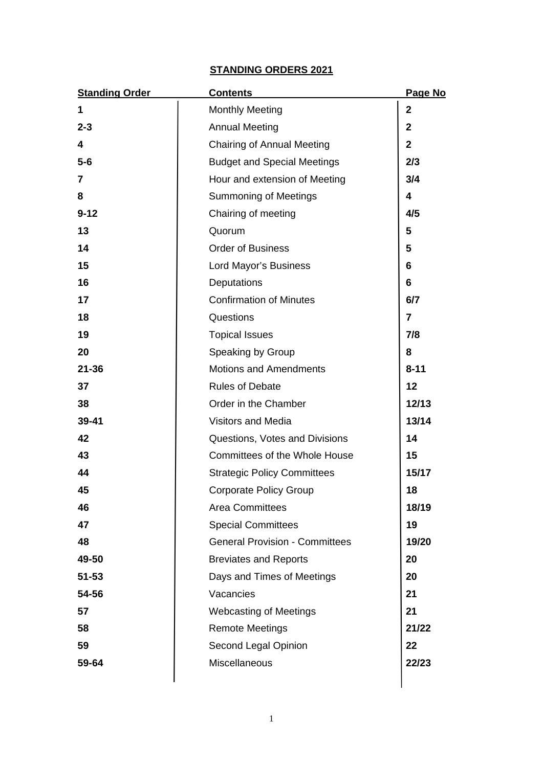# **STANDING ORDERS 2021**

| <b>Standing Order</b>   | <b>Contents</b>                       | Page No        |
|-------------------------|---------------------------------------|----------------|
| 1                       | <b>Monthly Meeting</b>                | $\mathbf{2}$   |
| $2 - 3$                 | <b>Annual Meeting</b>                 | $\overline{2}$ |
| $\overline{\mathbf{4}}$ | <b>Chairing of Annual Meeting</b>     | $\overline{2}$ |
| $5-6$                   | <b>Budget and Special Meetings</b>    | 2/3            |
| 7                       | Hour and extension of Meeting         | 3/4            |
| 8                       | <b>Summoning of Meetings</b>          | 4              |
| $9 - 12$                | Chairing of meeting                   | 4/5            |
| 13                      | Quorum                                | 5              |
| 14                      | <b>Order of Business</b>              | 5              |
| 15                      | Lord Mayor's Business                 | 6              |
| 16                      | Deputations                           | 6              |
| 17                      | <b>Confirmation of Minutes</b>        | 6/7            |
| 18                      | Questions                             | 7              |
| 19                      | <b>Topical Issues</b>                 | 7/8            |
| 20                      | Speaking by Group                     | 8              |
| $21 - 36$               | <b>Motions and Amendments</b>         | $8 - 11$       |
| 37                      | <b>Rules of Debate</b>                | 12             |
| 38                      | Order in the Chamber                  | 12/13          |
| 39-41                   | <b>Visitors and Media</b>             | 13/14          |
| 42                      | Questions, Votes and Divisions        | 14             |
| 43                      | Committees of the Whole House         | 15             |
| 44                      | <b>Strategic Policy Committees</b>    | 15/17          |
| 45                      | <b>Corporate Policy Group</b>         | 18             |
| 46                      | <b>Area Committees</b>                | 18/19          |
| 47                      | <b>Special Committees</b>             | 19             |
| 48                      | <b>General Provision - Committees</b> | 19/20          |
| 49-50                   | <b>Breviates and Reports</b>          | 20             |
| $51 - 53$               | Days and Times of Meetings            | 20             |
| 54-56                   | Vacancies                             | 21             |
| 57                      | <b>Webcasting of Meetings</b>         | 21             |
| 58                      | <b>Remote Meetings</b>                | 21/22          |
| 59                      | Second Legal Opinion                  | 22             |
| 59-64                   | Miscellaneous                         | 22/23          |
|                         |                                       |                |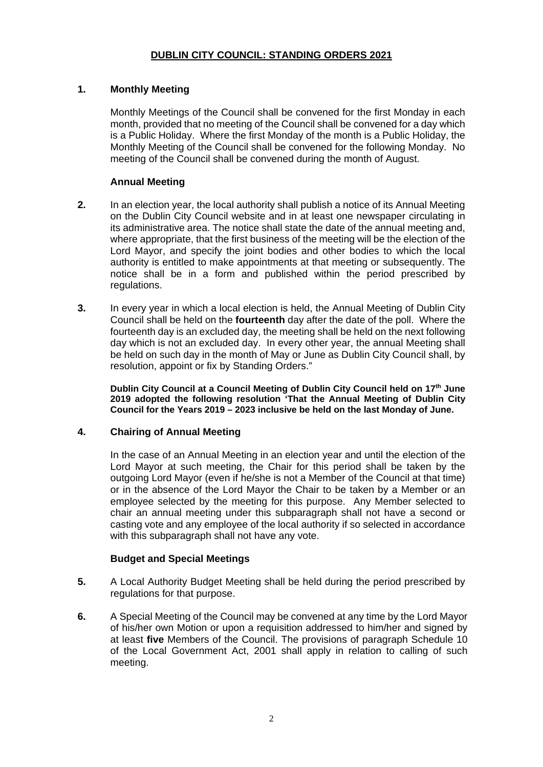# **1. Monthly Meeting**

Monthly Meetings of the Council shall be convened for the first Monday in each month, provided that no meeting of the Council shall be convened for a day which is a Public Holiday. Where the first Monday of the month is a Public Holiday, the Monthly Meeting of the Council shall be convened for the following Monday. No meeting of the Council shall be convened during the month of August.

# **Annual Meeting**

- **2.** In an election year, the local authority shall publish a notice of its Annual Meeting on the Dublin City Council website and in at least one newspaper circulating in its administrative area. The notice shall state the date of the annual meeting and, where appropriate, that the first business of the meeting will be the election of the Lord Mayor, and specify the joint bodies and other bodies to which the local authority is entitled to make appointments at that meeting or subsequently. The notice shall be in a form and published within the period prescribed by regulations.
- **3.** In every year in which a local election is held, the Annual Meeting of Dublin City Council shall be held on the **fourteenth** day after the date of the poll. Where the fourteenth day is an excluded day, the meeting shall be held on the next following day which is not an excluded day. In every other year, the annual Meeting shall be held on such day in the month of May or June as Dublin City Council shall, by resolution, appoint or fix by Standing Orders."

**Dublin City Council at a Council Meeting of Dublin City Council held on 17th June 2019 adopted the following resolution 'That the Annual Meeting of Dublin City Council for the Years 2019 – 2023 inclusive be held on the last Monday of June.**

### **4. Chairing of Annual Meeting**

In the case of an Annual Meeting in an election year and until the election of the Lord Mayor at such meeting, the Chair for this period shall be taken by the outgoing Lord Mayor (even if he/she is not a Member of the Council at that time) or in the absence of the Lord Mayor the Chair to be taken by a Member or an employee selected by the meeting for this purpose. Any Member selected to chair an annual meeting under this subparagraph shall not have a second or casting vote and any employee of the local authority if so selected in accordance with this subparagraph shall not have any vote.

# **Budget and Special Meetings**

- **5.** A Local Authority Budget Meeting shall be held during the period prescribed by regulations for that purpose.
- **6.** A Special Meeting of the Council may be convened at any time by the Lord Mayor of his/her own Motion or upon a requisition addressed to him/her and signed by at least **five** Members of the Council. The provisions of paragraph Schedule 10 of the Local Government Act, 2001 shall apply in relation to calling of such meeting.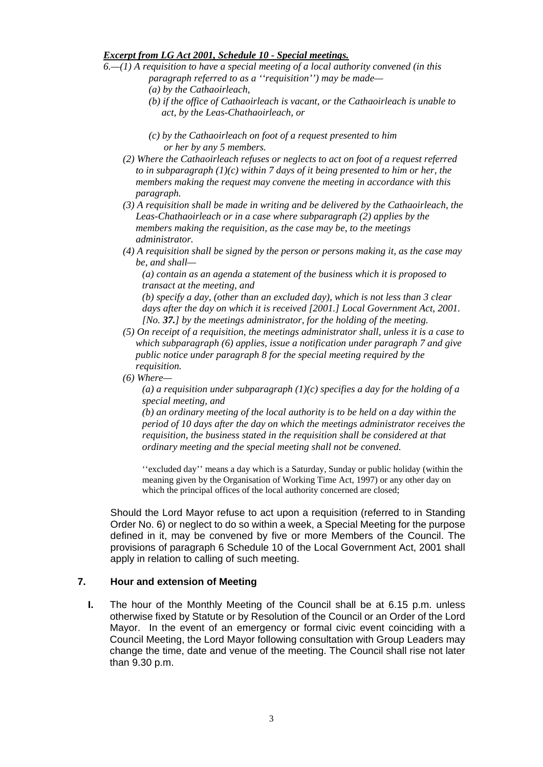#### *Excerpt from LG Act 2001, Schedule 10 - Special meetings.*

- *6.—(1) A requisition to have a special meeting of a local authority convened (in this paragraph referred to as a ''requisition'') may be made—*
	- *(a) by the Cathaoirleach,*
	- *(b) if the office of Cathaoirleach is vacant, or the Cathaoirleach is unable to act, by the Leas-Chathaoirleach, or*
	- *(c) by the Cathaoirleach on foot of a request presented to him or her by any 5 members.*
	- *(2) Where the Cathaoirleach refuses or neglects to act on foot of a request referred to in subparagraph (1)(c) within 7 days of it being presented to him or her, the members making the request may convene the meeting in accordance with this paragraph.*
	- *(3) A requisition shall be made in writing and be delivered by the Cathaoirleach, the Leas-Chathaoirleach or in a case where subparagraph (2) applies by the members making the requisition, as the case may be, to the meetings administrator.*
	- *(4) A requisition shall be signed by the person or persons making it, as the case may be, and shall—*

*(a) contain as an agenda a statement of the business which it is proposed to transact at the meeting, and*

*(b) specify a day, (other than an excluded day), which is not less than 3 clear days after the day on which it is received [2001.] Local Government Act, 2001. [No. 37.] by the meetings administrator, for the holding of the meeting.*

- *(5) On receipt of a requisition, the meetings administrator shall, unless it is a case to which subparagraph (6) applies, issue a notification under paragraph 7 and give public notice under paragraph 8 for the special meeting required by the requisition.*
- *(6) Where—*

*(a) a requisition under subparagraph (1)(c) specifies a day for the holding of a special meeting, and*

*(b) an ordinary meeting of the local authority is to be held on a day within the period of 10 days after the day on which the meetings administrator receives the requisition, the business stated in the requisition shall be considered at that ordinary meeting and the special meeting shall not be convened.*

''excluded day'' means a day which is a Saturday, Sunday or public holiday (within the meaning given by the Organisation of Working Time Act, 1997) or any other day on which the principal offices of the local authority concerned are closed;

Should the Lord Mayor refuse to act upon a requisition (referred to in Standing Order No. 6) or neglect to do so within a week, a Special Meeting for the purpose defined in it, may be convened by five or more Members of the Council. The provisions of paragraph 6 Schedule 10 of the Local Government Act, 2001 shall apply in relation to calling of such meeting.

#### **7. Hour and extension of Meeting**

**I.** The hour of the Monthly Meeting of the Council shall be at 6.15 p.m. unless otherwise fixed by Statute or by Resolution of the Council or an Order of the Lord Mayor. In the event of an emergency or formal civic event coinciding with a Council Meeting, the Lord Mayor following consultation with Group Leaders may change the time, date and venue of the meeting. The Council shall rise not later than 9.30 p.m.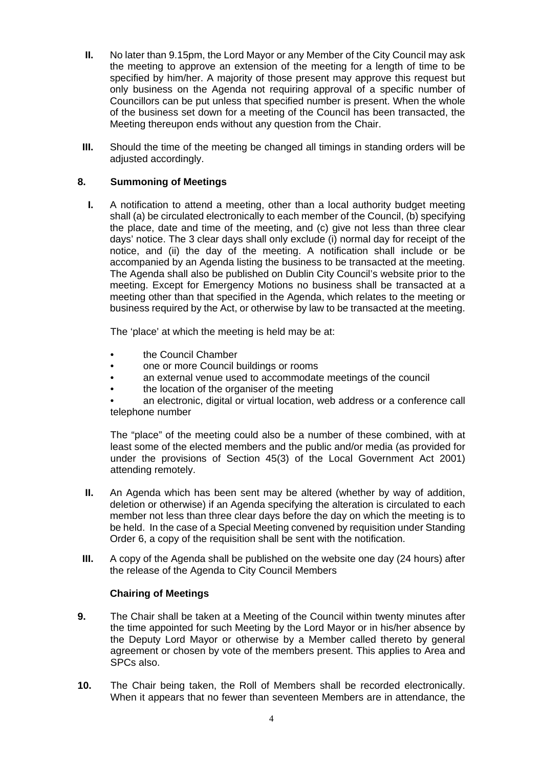- **II.** No later than 9.15pm, the Lord Mayor or any Member of the City Council may ask the meeting to approve an extension of the meeting for a length of time to be specified by him/her. A majority of those present may approve this request but only business on the Agenda not requiring approval of a specific number of Councillors can be put unless that specified number is present. When the whole of the business set down for a meeting of the Council has been transacted, the Meeting thereupon ends without any question from the Chair.
- **III.** Should the time of the meeting be changed all timings in standing orders will be adiusted accordingly.

# **8. Summoning of Meetings**

**I.** A notification to attend a meeting, other than a local authority budget meeting shall (a) be circulated electronically to each member of the Council, (b) specifying the place, date and time of the meeting, and (c) give not less than three clear days' notice. The 3 clear days shall only exclude (i) normal day for receipt of the notice, and (ii) the day of the meeting. A notification shall include or be accompanied by an Agenda listing the business to be transacted at the meeting. The Agenda shall also be published on Dublin City Council's website prior to the meeting. Except for Emergency Motions no business shall be transacted at a meeting other than that specified in the Agenda, which relates to the meeting or business required by the Act, or otherwise by law to be transacted at the meeting.

The 'place' at which the meeting is held may be at:

- the Council Chamber
- one or more Council buildings or rooms
- an external venue used to accommodate meetings of the council
- the location of the organiser of the meeting
- an electronic, digital or virtual location, web address or a conference call telephone number

The "place" of the meeting could also be a number of these combined, with at least some of the elected members and the public and/or media (as provided for under the provisions of Section 45(3) of the Local Government Act 2001) attending remotely.

- **II.** An Agenda which has been sent may be altered (whether by way of addition, deletion or otherwise) if an Agenda specifying the alteration is circulated to each member not less than three clear days before the day on which the meeting is to be held. In the case of a Special Meeting convened by requisition under Standing Order 6, a copy of the requisition shall be sent with the notification.
- **III.** A copy of the Agenda shall be published on the website one day (24 hours) after the release of the Agenda to City Council Members

### **Chairing of Meetings**

- **9.** The Chair shall be taken at a Meeting of the Council within twenty minutes after the time appointed for such Meeting by the Lord Mayor or in his/her absence by the Deputy Lord Mayor or otherwise by a Member called thereto by general agreement or chosen by vote of the members present. This applies to Area and SPCs also.
- **10.** The Chair being taken, the Roll of Members shall be recorded electronically. When it appears that no fewer than seventeen Members are in attendance, the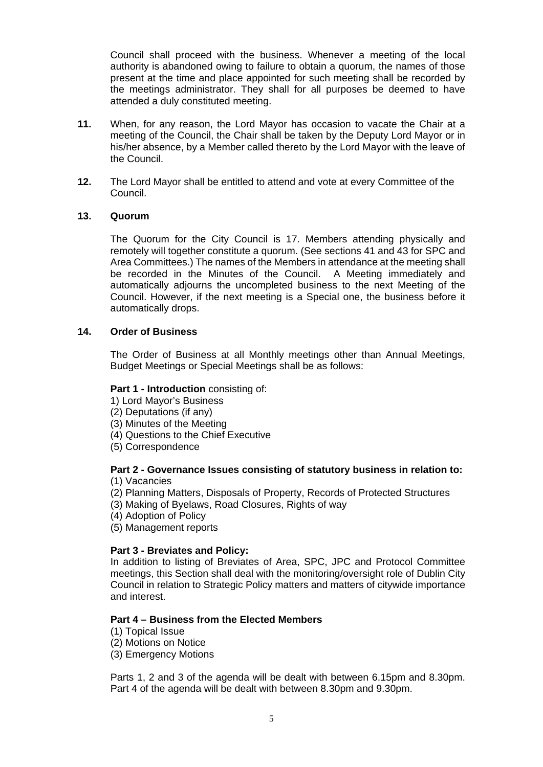Council shall proceed with the business. Whenever a meeting of the local authority is abandoned owing to failure to obtain a quorum, the names of those present at the time and place appointed for such meeting shall be recorded by the meetings administrator. They shall for all purposes be deemed to have attended a duly constituted meeting.

- **11.** When, for any reason, the Lord Mayor has occasion to vacate the Chair at a meeting of the Council, the Chair shall be taken by the Deputy Lord Mayor or in his/her absence, by a Member called thereto by the Lord Mayor with the leave of the Council.
- **12.** The Lord Mayor shall be entitled to attend and vote at every Committee of the Council.

#### **13. Quorum**

The Quorum for the City Council is 17. Members attending physically and remotely will together constitute a quorum. (See sections 41 and 43 for SPC and Area Committees.) The names of the Members in attendance at the meeting shall be recorded in the Minutes of the Council. A Meeting immediately and automatically adjourns the uncompleted business to the next Meeting of the Council. However, if the next meeting is a Special one, the business before it automatically drops.

#### **14. Order of Business**

The Order of Business at all Monthly meetings other than Annual Meetings, Budget Meetings or Special Meetings shall be as follows:

#### **Part 1 - Introduction** consisting of:

- 1) Lord Mayor's Business
- (2) Deputations (if any)
- (3) Minutes of the Meeting
- (4) Questions to the Chief Executive
- (5) Correspondence

### **Part 2 - Governance Issues consisting of statutory business in relation to:**

- (1) Vacancies
- (2) Planning Matters, Disposals of Property, Records of Protected Structures
- (3) Making of Byelaws, Road Closures, Rights of way
- (4) Adoption of Policy
- (5) Management reports

#### **Part 3 - Breviates and Policy:**

In addition to listing of Breviates of Area, SPC, JPC and Protocol Committee meetings, this Section shall deal with the monitoring/oversight role of Dublin City Council in relation to Strategic Policy matters and matters of citywide importance and interest.

#### **Part 4 – Business from the Elected Members**

- (1) Topical Issue
- (2) Motions on Notice
- (3) Emergency Motions

Parts 1, 2 and 3 of the agenda will be dealt with between 6.15pm and 8.30pm. Part 4 of the agenda will be dealt with between 8.30pm and 9.30pm.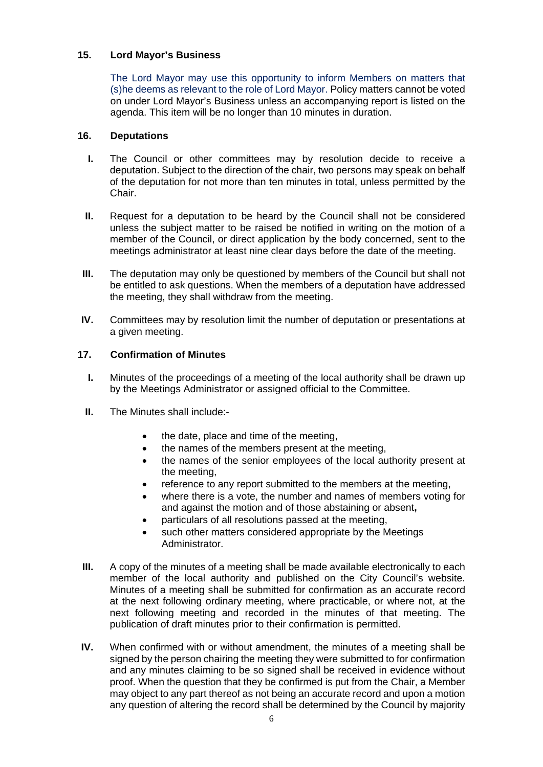# **15. Lord Mayor's Business**

The Lord Mayor may use this opportunity to inform Members on matters that (s)he deems as relevant to the role of Lord Mayor. Policy matters cannot be voted on under Lord Mayor's Business unless an accompanying report is listed on the agenda. This item will be no longer than 10 minutes in duration.

### **16. Deputations**

- **I.** The Council or other committees may by resolution decide to receive a deputation. Subject to the direction of the chair, two persons may speak on behalf of the deputation for not more than ten minutes in total, unless permitted by the Chair.
- **II.** Request for a deputation to be heard by the Council shall not be considered unless the subject matter to be raised be notified in writing on the motion of a member of the Council, or direct application by the body concerned, sent to the meetings administrator at least nine clear days before the date of the meeting.
- **III.** The deputation may only be questioned by members of the Council but shall not be entitled to ask questions. When the members of a deputation have addressed the meeting, they shall withdraw from the meeting.
- **IV.** Committees may by resolution limit the number of deputation or presentations at a given meeting.

### **17. Confirmation of Minutes**

- **I.** Minutes of the proceedings of a meeting of the local authority shall be drawn up by the Meetings Administrator or assigned official to the Committee.
- **II.** The Minutes shall include:-
	- the date, place and time of the meeting.
	- the names of the members present at the meeting,
	- the names of the senior employees of the local authority present at the meeting,
	- reference to any report submitted to the members at the meeting,
	- where there is a vote, the number and names of members voting for and against the motion and of those abstaining or absent**,**
	- particulars of all resolutions passed at the meeting,
	- such other matters considered appropriate by the Meetings Administrator.
- **III.** A copy of the minutes of a meeting shall be made available electronically to each member of the local authority and published on the City Council's website. Minutes of a meeting shall be submitted for confirmation as an accurate record at the next following ordinary meeting, where practicable, or where not, at the next following meeting and recorded in the minutes of that meeting. The publication of draft minutes prior to their confirmation is permitted.
- **IV.** When confirmed with or without amendment, the minutes of a meeting shall be signed by the person chairing the meeting they were submitted to for confirmation and any minutes claiming to be so signed shall be received in evidence without proof. When the question that they be confirmed is put from the Chair, a Member may object to any part thereof as not being an accurate record and upon a motion any question of altering the record shall be determined by the Council by majority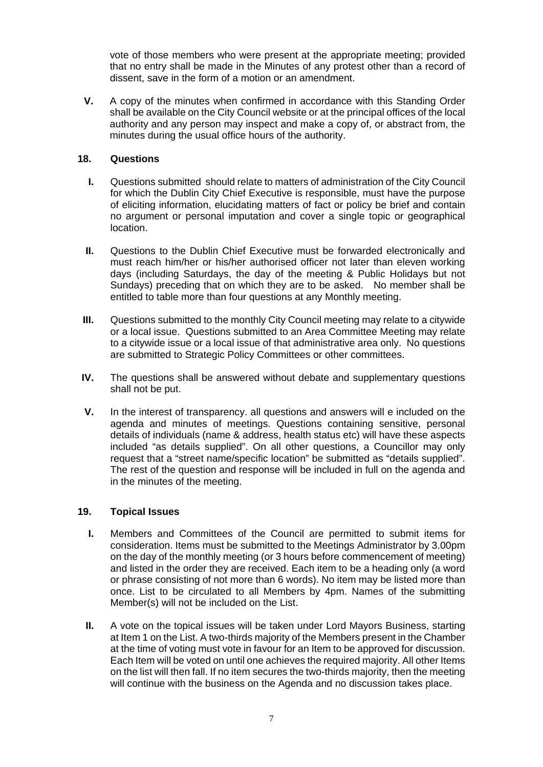vote of those members who were present at the appropriate meeting; provided that no entry shall be made in the Minutes of any protest other than a record of dissent, save in the form of a motion or an amendment.

**V.** A copy of the minutes when confirmed in accordance with this Standing Order shall be available on the City Council website or at the principal offices of the local authority and any person may inspect and make a copy of, or abstract from, the minutes during the usual office hours of the authority.

# **18. Questions**

- **I.** Questions submitted should relate to matters of administration of the City Council for which the Dublin City Chief Executive is responsible, must have the purpose of eliciting information, elucidating matters of fact or policy be brief and contain no argument or personal imputation and cover a single topic or geographical location.
- **II.** Questions to the Dublin Chief Executive must be forwarded electronically and must reach him/her or his/her authorised officer not later than eleven working days (including Saturdays, the day of the meeting & Public Holidays but not Sundays) preceding that on which they are to be asked. No member shall be entitled to table more than four questions at any Monthly meeting.
- **III.** Questions submitted to the monthly City Council meeting may relate to a citywide or a local issue. Questions submitted to an Area Committee Meeting may relate to a citywide issue or a local issue of that administrative area only. No questions are submitted to Strategic Policy Committees or other committees.
- **IV.** The questions shall be answered without debate and supplementary questions shall not be put.
- **V.** In the interest of transparency. all questions and answers will e included on the agenda and minutes of meetings. Questions containing sensitive, personal details of individuals (name & address, health status etc) will have these aspects included "as details supplied". On all other questions, a Councillor may only request that a "street name/specific location" be submitted as "details supplied". The rest of the question and response will be included in full on the agenda and in the minutes of the meeting.

### **19. Topical Issues**

- **I.** Members and Committees of the Council are permitted to submit items for consideration. Items must be submitted to the Meetings Administrator by 3.00pm on the day of the monthly meeting (or 3 hours before commencement of meeting) and listed in the order they are received. Each item to be a heading only (a word or phrase consisting of not more than 6 words). No item may be listed more than once. List to be circulated to all Members by 4pm. Names of the submitting Member(s) will not be included on the List.
- **II.** A vote on the topical issues will be taken under Lord Mayors Business, starting at Item 1 on the List. A two-thirds majority of the Members present in the Chamber at the time of voting must vote in favour for an Item to be approved for discussion. Each Item will be voted on until one achieves the required majority. All other Items on the list will then fall. If no item secures the two-thirds majority, then the meeting will continue with the business on the Agenda and no discussion takes place.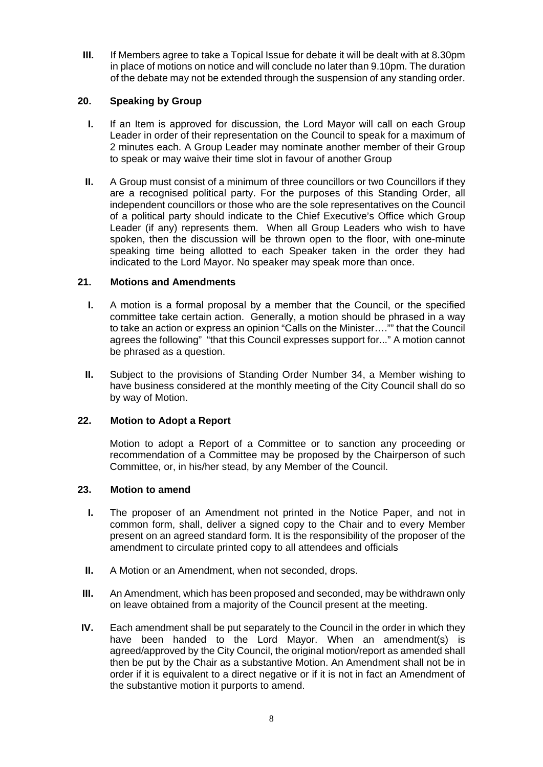**III.** If Members agree to take a Topical Issue for debate it will be dealt with at 8.30pm in place of motions on notice and will conclude no later than 9.10pm. The duration of the debate may not be extended through the suspension of any standing order.

# **20. Speaking by Group**

- **I.** If an Item is approved for discussion, the Lord Mayor will call on each Group Leader in order of their representation on the Council to speak for a maximum of 2 minutes each. A Group Leader may nominate another member of their Group to speak or may waive their time slot in favour of another Group
- **II.** A Group must consist of a minimum of three councillors or two Councillors if they are a recognised political party. For the purposes of this Standing Order, all independent councillors or those who are the sole representatives on the Council of a political party should indicate to the Chief Executive's Office which Group Leader (if any) represents them. When all Group Leaders who wish to have spoken, then the discussion will be thrown open to the floor, with one-minute speaking time being allotted to each Speaker taken in the order they had indicated to the Lord Mayor. No speaker may speak more than once.

# **21. Motions and Amendments**

- **I.** A motion is a formal proposal by a member that the Council, or the specified committee take certain action. Generally, a motion should be phrased in a way to take an action or express an opinion "Calls on the Minister…."" that the Council agrees the following" "that this Council expresses support for..." A motion cannot be phrased as a question.
- **II.** Subject to the provisions of Standing Order Number 34, a Member wishing to have business considered at the monthly meeting of the City Council shall do so by way of Motion.

### **22. Motion to Adopt a Report**

Motion to adopt a Report of a Committee or to sanction any proceeding or recommendation of a Committee may be proposed by the Chairperson of such Committee, or, in his/her stead, by any Member of the Council.

### **23. Motion to amend**

- **I.** The proposer of an Amendment not printed in the Notice Paper, and not in common form, shall, deliver a signed copy to the Chair and to every Member present on an agreed standard form. It is the responsibility of the proposer of the amendment to circulate printed copy to all attendees and officials
- **II.** A Motion or an Amendment, when not seconded, drops.
- **III.** An Amendment, which has been proposed and seconded, may be withdrawn only on leave obtained from a majority of the Council present at the meeting.
- **IV.** Each amendment shall be put separately to the Council in the order in which they have been handed to the Lord Mayor. When an amendment(s) is agreed/approved by the City Council, the original motion/report as amended shall then be put by the Chair as a substantive Motion. An Amendment shall not be in order if it is equivalent to a direct negative or if it is not in fact an Amendment of the substantive motion it purports to amend.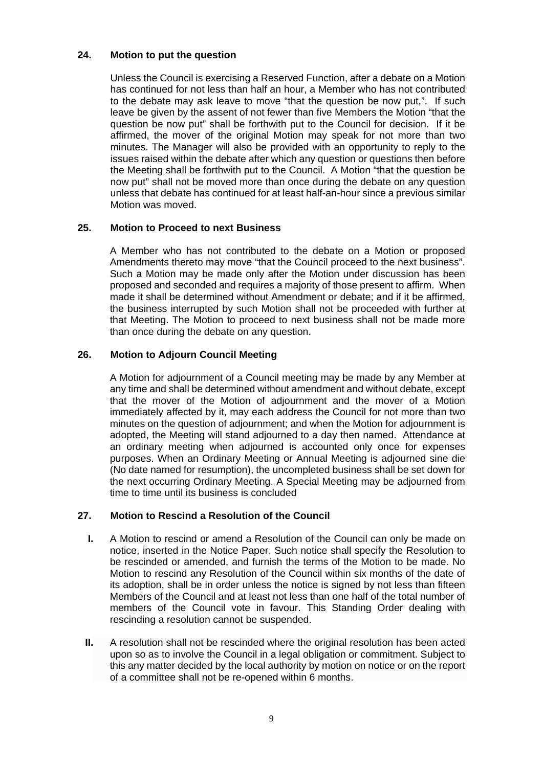### **24. Motion to put the question**

Unless the Council is exercising a Reserved Function, after a debate on a Motion has continued for not less than half an hour, a Member who has not contributed to the debate may ask leave to move "that the question be now put,". If such leave be given by the assent of not fewer than five Members the Motion "that the question be now put" shall be forthwith put to the Council for decision. If it be affirmed, the mover of the original Motion may speak for not more than two minutes. The Manager will also be provided with an opportunity to reply to the issues raised within the debate after which any question or questions then before the Meeting shall be forthwith put to the Council. A Motion "that the question be now put" shall not be moved more than once during the debate on any question unless that debate has continued for at least half-an-hour since a previous similar Motion was moved.

# **25. Motion to Proceed to next Business**

A Member who has not contributed to the debate on a Motion or proposed Amendments thereto may move "that the Council proceed to the next business". Such a Motion may be made only after the Motion under discussion has been proposed and seconded and requires a majority of those present to affirm. When made it shall be determined without Amendment or debate; and if it be affirmed, the business interrupted by such Motion shall not be proceeded with further at that Meeting. The Motion to proceed to next business shall not be made more than once during the debate on any question.

# **26. Motion to Adjourn Council Meeting**

A Motion for adjournment of a Council meeting may be made by any Member at any time and shall be determined without amendment and without debate, except that the mover of the Motion of adjournment and the mover of a Motion immediately affected by it, may each address the Council for not more than two minutes on the question of adjournment; and when the Motion for adjournment is adopted, the Meeting will stand adjourned to a day then named. Attendance at an ordinary meeting when adjourned is accounted only once for expenses purposes. When an Ordinary Meeting or Annual Meeting is adjourned sine die (No date named for resumption), the uncompleted business shall be set down for the next occurring Ordinary Meeting. A Special Meeting may be adjourned from time to time until its business is concluded

### **27. Motion to Rescind a Resolution of the Council**

- **I.** A Motion to rescind or amend a Resolution of the Council can only be made on notice, inserted in the Notice Paper. Such notice shall specify the Resolution to be rescinded or amended, and furnish the terms of the Motion to be made. No Motion to rescind any Resolution of the Council within six months of the date of its adoption, shall be in order unless the notice is signed by not less than fifteen Members of the Council and at least not less than one half of the total number of members of the Council vote in favour. This Standing Order dealing with rescinding a resolution cannot be suspended.
- **II.** A resolution shall not be rescinded where the original resolution has been acted upon so as to involve the Council in a legal obligation or commitment. Subject to this any matter decided by the local authority by motion on notice or on the report of a committee shall not be re-opened within 6 months.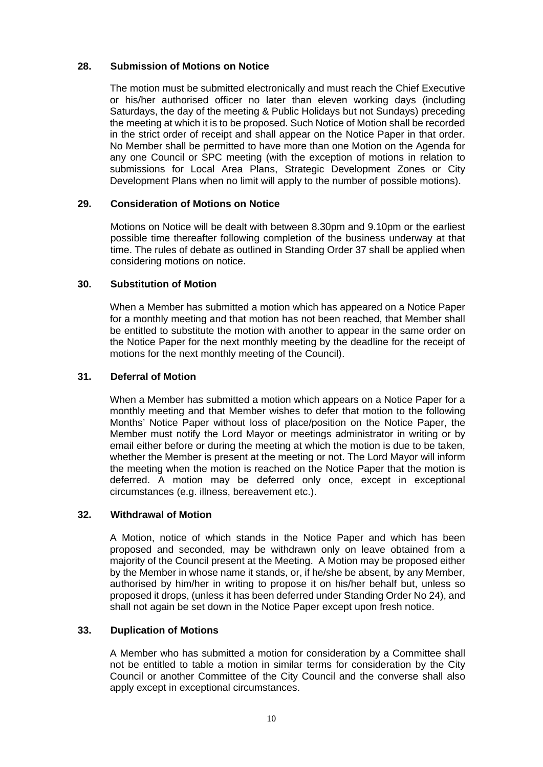# **28. Submission of Motions on Notice**

The motion must be submitted electronically and must reach the Chief Executive or his/her authorised officer no later than eleven working days (including Saturdays, the day of the meeting & Public Holidays but not Sundays) preceding the meeting at which it is to be proposed. Such Notice of Motion shall be recorded in the strict order of receipt and shall appear on the Notice Paper in that order. No Member shall be permitted to have more than one Motion on the Agenda for any one Council or SPC meeting (with the exception of motions in relation to submissions for Local Area Plans, Strategic Development Zones or City Development Plans when no limit will apply to the number of possible motions).

### **29. Consideration of Motions on Notice**

Motions on Notice will be dealt with between 8.30pm and 9.10pm or the earliest possible time thereafter following completion of the business underway at that time. The rules of debate as outlined in Standing Order 37 shall be applied when considering motions on notice.

#### **30. Substitution of Motion**

When a Member has submitted a motion which has appeared on a Notice Paper for a monthly meeting and that motion has not been reached, that Member shall be entitled to substitute the motion with another to appear in the same order on the Notice Paper for the next monthly meeting by the deadline for the receipt of motions for the next monthly meeting of the Council).

#### **31. Deferral of Motion**

When a Member has submitted a motion which appears on a Notice Paper for a monthly meeting and that Member wishes to defer that motion to the following Months' Notice Paper without loss of place/position on the Notice Paper, the Member must notify the Lord Mayor or meetings administrator in writing or by email either before or during the meeting at which the motion is due to be taken, whether the Member is present at the meeting or not. The Lord Mayor will inform the meeting when the motion is reached on the Notice Paper that the motion is deferred. A motion may be deferred only once, except in exceptional circumstances (e.g. illness, bereavement etc.).

### **32. Withdrawal of Motion**

A Motion, notice of which stands in the Notice Paper and which has been proposed and seconded, may be withdrawn only on leave obtained from a majority of the Council present at the Meeting. A Motion may be proposed either by the Member in whose name it stands, or, if he/she be absent, by any Member, authorised by him/her in writing to propose it on his/her behalf but, unless so proposed it drops, (unless it has been deferred under Standing Order No 24), and shall not again be set down in the Notice Paper except upon fresh notice.

### **33. Duplication of Motions**

A Member who has submitted a motion for consideration by a Committee shall not be entitled to table a motion in similar terms for consideration by the City Council or another Committee of the City Council and the converse shall also apply except in exceptional circumstances.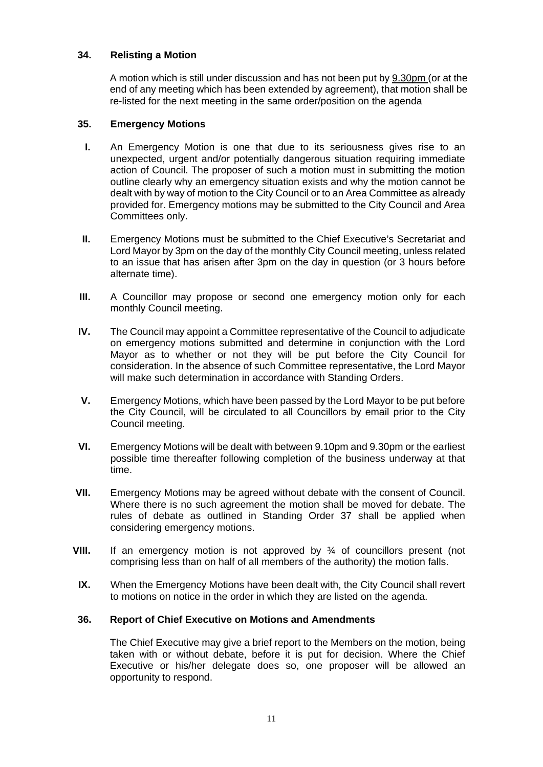# **34. Relisting a Motion**

A motion which is still under discussion and has not been put by 9.30pm (or at the end of any meeting which has been extended by agreement), that motion shall be re-listed for the next meeting in the same order/position on the agenda

### **35. Emergency Motions**

- **I.** An Emergency Motion is one that due to its seriousness gives rise to an unexpected, urgent and/or potentially dangerous situation requiring immediate action of Council. The proposer of such a motion must in submitting the motion outline clearly why an emergency situation exists and why the motion cannot be dealt with by way of motion to the City Council or to an Area Committee as already provided for. Emergency motions may be submitted to the City Council and Area Committees only.
- **II.** Emergency Motions must be submitted to the Chief Executive's Secretariat and Lord Mayor by 3pm on the day of the monthly City Council meeting, unless related to an issue that has arisen after 3pm on the day in question (or 3 hours before alternate time).
- **III.** A Councillor may propose or second one emergency motion only for each monthly Council meeting.
- **IV.** The Council may appoint a Committee representative of the Council to adjudicate on emergency motions submitted and determine in conjunction with the Lord Mayor as to whether or not they will be put before the City Council for consideration. In the absence of such Committee representative, the Lord Mayor will make such determination in accordance with Standing Orders.
- **V.** Emergency Motions, which have been passed by the Lord Mayor to be put before the City Council, will be circulated to all Councillors by email prior to the City Council meeting.
- **VI.** Emergency Motions will be dealt with between 9.10pm and 9.30pm or the earliest possible time thereafter following completion of the business underway at that time.
- **VII.** Emergency Motions may be agreed without debate with the consent of Council. Where there is no such agreement the motion shall be moved for debate. The rules of debate as outlined in Standing Order 37 shall be applied when considering emergency motions.
- **VIII.** If an emergency motion is not approved by ¾ of councillors present (not comprising less than on half of all members of the authority) the motion falls.
- **IX.** When the Emergency Motions have been dealt with, the City Council shall revert to motions on notice in the order in which they are listed on the agenda.

### **36. Report of Chief Executive on Motions and Amendments**

The Chief Executive may give a brief report to the Members on the motion, being taken with or without debate, before it is put for decision. Where the Chief Executive or his/her delegate does so, one proposer will be allowed an opportunity to respond.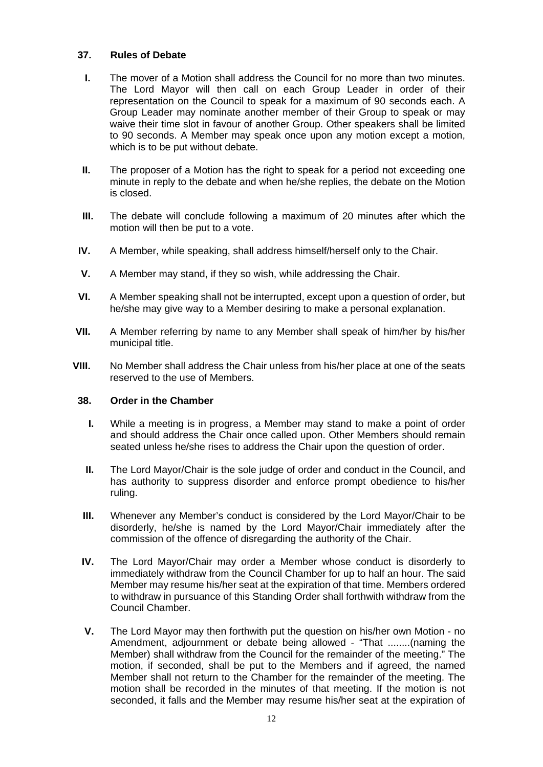### **37. Rules of Debate**

- **I.** The mover of a Motion shall address the Council for no more than two minutes. The Lord Mayor will then call on each Group Leader in order of their representation on the Council to speak for a maximum of 90 seconds each. A Group Leader may nominate another member of their Group to speak or may waive their time slot in favour of another Group. Other speakers shall be limited to 90 seconds. A Member may speak once upon any motion except a motion, which is to be put without debate.
- **II.** The proposer of a Motion has the right to speak for a period not exceeding one minute in reply to the debate and when he/she replies, the debate on the Motion is closed.
- **III.** The debate will conclude following a maximum of 20 minutes after which the motion will then be put to a vote.
- **IV.** A Member, while speaking, shall address himself/herself only to the Chair.
- **V.** A Member may stand, if they so wish, while addressing the Chair.
- **VI.** A Member speaking shall not be interrupted, except upon a question of order, but he/she may give way to a Member desiring to make a personal explanation.
- **VII.** A Member referring by name to any Member shall speak of him/her by his/her municipal title.
- **VIII.** No Member shall address the Chair unless from his/her place at one of the seats reserved to the use of Members.

#### **38. Order in the Chamber**

- **I.** While a meeting is in progress, a Member may stand to make a point of order and should address the Chair once called upon. Other Members should remain seated unless he/she rises to address the Chair upon the question of order.
- **II.** The Lord Mayor/Chair is the sole judge of order and conduct in the Council, and has authority to suppress disorder and enforce prompt obedience to his/her ruling.
- **III.** Whenever any Member's conduct is considered by the Lord Mayor/Chair to be disorderly, he/she is named by the Lord Mayor/Chair immediately after the commission of the offence of disregarding the authority of the Chair.
- **IV.** The Lord Mayor/Chair may order a Member whose conduct is disorderly to immediately withdraw from the Council Chamber for up to half an hour. The said Member may resume his/her seat at the expiration of that time. Members ordered to withdraw in pursuance of this Standing Order shall forthwith withdraw from the Council Chamber.
- **V.** The Lord Mayor may then forthwith put the question on his/her own Motion no Amendment, adjournment or debate being allowed - "That ........(naming the Member) shall withdraw from the Council for the remainder of the meeting." The motion, if seconded, shall be put to the Members and if agreed, the named Member shall not return to the Chamber for the remainder of the meeting. The motion shall be recorded in the minutes of that meeting. If the motion is not seconded, it falls and the Member may resume his/her seat at the expiration of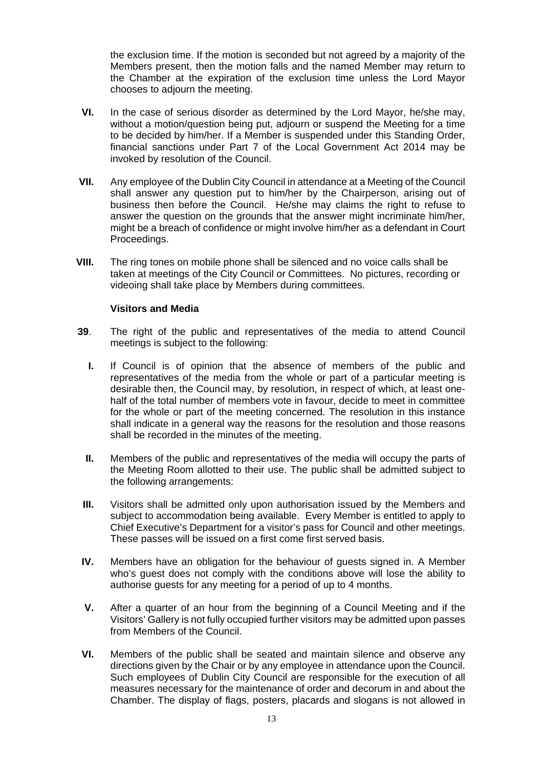the exclusion time. If the motion is seconded but not agreed by a majority of the Members present, then the motion falls and the named Member may return to the Chamber at the expiration of the exclusion time unless the Lord Mayor chooses to adjourn the meeting.

- **VI.** In the case of serious disorder as determined by the Lord Mayor, he/she may, without a motion/question being put, adjourn or suspend the Meeting for a time to be decided by him/her. If a Member is suspended under this Standing Order, financial sanctions under Part 7 of the Local Government Act 2014 may be invoked by resolution of the Council.
- **VII.** Any employee of the Dublin City Council in attendance at a Meeting of the Council shall answer any question put to him/her by the Chairperson, arising out of business then before the Council. He/she may claims the right to refuse to answer the question on the grounds that the answer might incriminate him/her, might be a breach of confidence or might involve him/her as a defendant in Court Proceedings.
- **VIII.** The ring tones on mobile phone shall be silenced and no voice calls shall be taken at meetings of the City Council or Committees. No pictures, recording or videoing shall take place by Members during committees.

#### **Visitors and Media**

- **39**. The right of the public and representatives of the media to attend Council meetings is subject to the following:
	- **I.** If Council is of opinion that the absence of members of the public and representatives of the media from the whole or part of a particular meeting is desirable then, the Council may, by resolution, in respect of which, at least onehalf of the total number of members vote in favour, decide to meet in committee for the whole or part of the meeting concerned. The resolution in this instance shall indicate in a general way the reasons for the resolution and those reasons shall be recorded in the minutes of the meeting.
	- **II.** Members of the public and representatives of the media will occupy the parts of the Meeting Room allotted to their use. The public shall be admitted subject to the following arrangements:
- **III.** Visitors shall be admitted only upon authorisation issued by the Members and subject to accommodation being available. Every Member is entitled to apply to Chief Executive's Department for a visitor's pass for Council and other meetings. These passes will be issued on a first come first served basis.
- **IV.** Members have an obligation for the behaviour of guests signed in. A Member who's quest does not comply with the conditions above will lose the ability to authorise guests for any meeting for a period of up to 4 months.
- **V.** After a quarter of an hour from the beginning of a Council Meeting and if the Visitors' Gallery is not fully occupied further visitors may be admitted upon passes from Members of the Council.
- **VI.** Members of the public shall be seated and maintain silence and observe any directions given by the Chair or by any employee in attendance upon the Council. Such employees of Dublin City Council are responsible for the execution of all measures necessary for the maintenance of order and decorum in and about the Chamber. The display of flags, posters, placards and slogans is not allowed in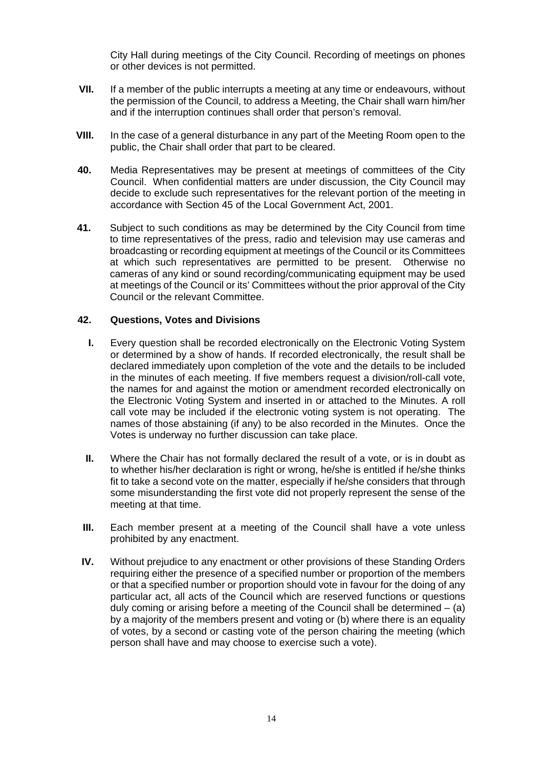City Hall during meetings of the City Council. Recording of meetings on phones or other devices is not permitted.

- **VII.** If a member of the public interrupts a meeting at any time or endeavours, without the permission of the Council, to address a Meeting, the Chair shall warn him/her and if the interruption continues shall order that person's removal.
- **VIII.** In the case of a general disturbance in any part of the Meeting Room open to the public, the Chair shall order that part to be cleared.
- **40.** Media Representatives may be present at meetings of committees of the City Council. When confidential matters are under discussion, the City Council may decide to exclude such representatives for the relevant portion of the meeting in accordance with Section 45 of the Local Government Act, 2001.
- **41.** Subject to such conditions as may be determined by the City Council from time to time representatives of the press, radio and television may use cameras and broadcasting or recording equipment at meetings of the Council or its Committees at which such representatives are permitted to be present. Otherwise no cameras of any kind or sound recording/communicating equipment may be used at meetings of the Council or its' Committees without the prior approval of the City Council or the relevant Committee.

#### **42. Questions, Votes and Divisions**

- **I.** Every question shall be recorded electronically on the Electronic Voting System or determined by a show of hands. If recorded electronically, the result shall be declared immediately upon completion of the vote and the details to be included in the minutes of each meeting. If five members request a division/roll-call vote, the names for and against the motion or amendment recorded electronically on the Electronic Voting System and inserted in or attached to the Minutes. A roll call vote may be included if the electronic voting system is not operating. The names of those abstaining (if any) to be also recorded in the Minutes. Once the Votes is underway no further discussion can take place.
- **II.** Where the Chair has not formally declared the result of a vote, or is in doubt as to whether his/her declaration is right or wrong, he/she is entitled if he/she thinks fit to take a second vote on the matter, especially if he/she considers that through some misunderstanding the first vote did not properly represent the sense of the meeting at that time.
- **III.** Each member present at a meeting of the Council shall have a vote unless prohibited by any enactment.
- **IV.** Without prejudice to any enactment or other provisions of these Standing Orders requiring either the presence of a specified number or proportion of the members or that a specified number or proportion should vote in favour for the doing of any particular act, all acts of the Council which are reserved functions or questions duly coming or arising before a meeting of the Council shall be determined – (a) by a majority of the members present and voting or (b) where there is an equality of votes, by a second or casting vote of the person chairing the meeting (which person shall have and may choose to exercise such a vote).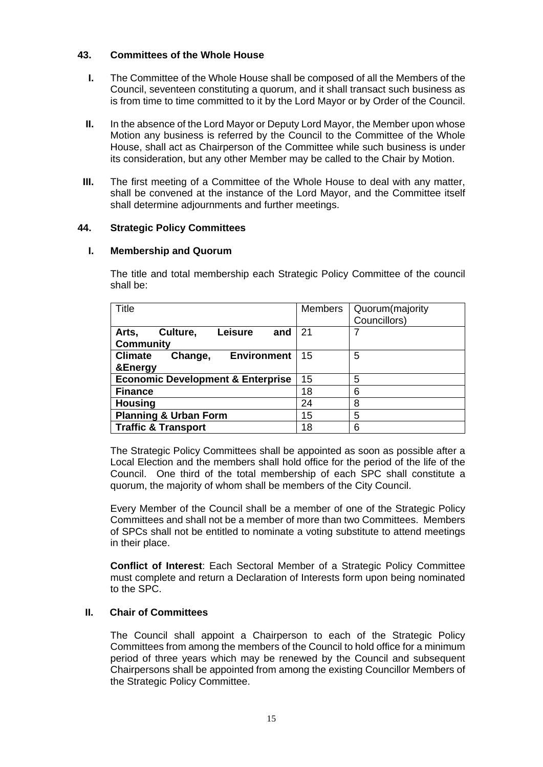# **43. Committees of the Whole House**

- **I.** The Committee of the Whole House shall be composed of all the Members of the Council, seventeen constituting a quorum, and it shall transact such business as is from time to time committed to it by the Lord Mayor or by Order of the Council.
- **II.** In the absence of the Lord Mayor or Deputy Lord Mayor, the Member upon whose Motion any business is referred by the Council to the Committee of the Whole House, shall act as Chairperson of the Committee while such business is under its consideration, but any other Member may be called to the Chair by Motion.
- **III.** The first meeting of a Committee of the Whole House to deal with any matter, shall be convened at the instance of the Lord Mayor, and the Committee itself shall determine adjournments and further meetings.

### **44. Strategic Policy Committees**

### **I. Membership and Quorum**

The title and total membership each Strategic Policy Committee of the council shall be:

| <b>Title</b>                                                   | <b>Members</b> | Quorum(majority<br>Councillors) |
|----------------------------------------------------------------|----------------|---------------------------------|
| <b>Leisure</b><br>Arts,<br>Culture,<br>and<br><b>Community</b> | -21            | 7                               |
| <b>Climate</b><br><b>Environment</b><br>Change,<br>&Energy     | 15             | 5                               |
| <b>Economic Development &amp; Enterprise</b>                   | 15             | 5                               |
| <b>Finance</b>                                                 | 18             | 6                               |
| <b>Housing</b>                                                 | 24             | 8                               |
| <b>Planning &amp; Urban Form</b>                               | 15             | 5                               |
| <b>Traffic &amp; Transport</b>                                 | 18             | 6                               |

The Strategic Policy Committees shall be appointed as soon as possible after a Local Election and the members shall hold office for the period of the life of the Council. One third of the total membership of each SPC shall constitute a quorum, the majority of whom shall be members of the City Council.

Every Member of the Council shall be a member of one of the Strategic Policy Committees and shall not be a member of more than two Committees. Members of SPCs shall not be entitled to nominate a voting substitute to attend meetings in their place.

**Conflict of Interest**: Each Sectoral Member of a Strategic Policy Committee must complete and return a Declaration of Interests form upon being nominated to the SPC.

### **II. Chair of Committees**

The Council shall appoint a Chairperson to each of the Strategic Policy Committees from among the members of the Council to hold office for a minimum period of three years which may be renewed by the Council and subsequent Chairpersons shall be appointed from among the existing Councillor Members of the Strategic Policy Committee.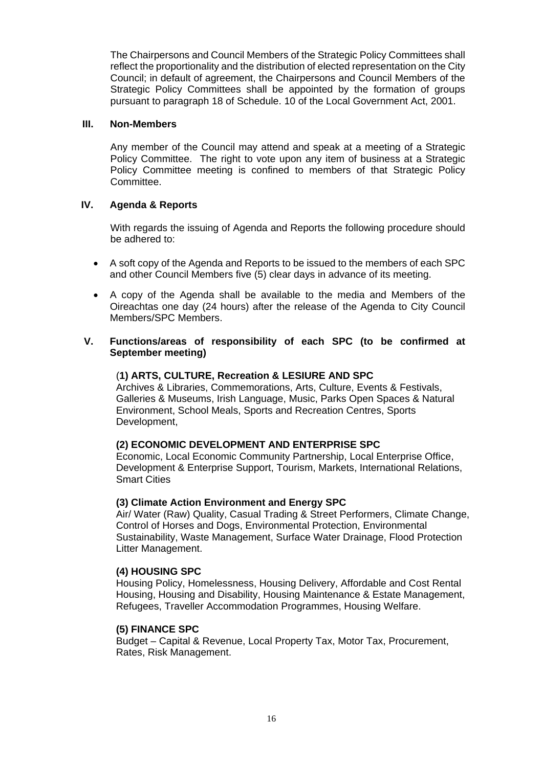The Chairpersons and Council Members of the Strategic Policy Committees shall reflect the proportionality and the distribution of elected representation on the City Council; in default of agreement, the Chairpersons and Council Members of the Strategic Policy Committees shall be appointed by the formation of groups pursuant to paragraph 18 of Schedule. 10 of the Local Government Act, 2001.

### **III. Non-Members**

Any member of the Council may attend and speak at a meeting of a Strategic Policy Committee. The right to vote upon any item of business at a Strategic Policy Committee meeting is confined to members of that Strategic Policy Committee.

#### **IV. Agenda & Reports**

With regards the issuing of Agenda and Reports the following procedure should be adhered to:

- A soft copy of the Agenda and Reports to be issued to the members of each SPC and other Council Members five (5) clear days in advance of its meeting.
- A copy of the Agenda shall be available to the media and Members of the Oireachtas one day (24 hours) after the release of the Agenda to City Council Members/SPC Members.

#### **V. Functions/areas of responsibility of each SPC (to be confirmed at September meeting)**

#### (**1) ARTS, CULTURE, Recreation & LESIURE AND SPC**

Archives & Libraries, Commemorations, Arts, Culture, Events & Festivals, Galleries & Museums, Irish Language, Music, Parks Open Spaces & Natural Environment, School Meals, Sports and Recreation Centres, Sports Development,

### **(2) ECONOMIC DEVELOPMENT AND ENTERPRISE SPC**

Economic, Local Economic Community Partnership, Local Enterprise Office, Development & Enterprise Support, Tourism, Markets, International Relations, Smart Cities

#### **(3) Climate Action Environment and Energy SPC**

Air/ Water (Raw) Quality, Casual Trading & Street Performers, Climate Change, Control of Horses and Dogs, Environmental Protection, Environmental Sustainability, Waste Management, Surface Water Drainage, Flood Protection Litter Management.

#### **(4) HOUSING SPC**

Housing Policy, Homelessness, Housing Delivery, Affordable and Cost Rental Housing, Housing and Disability, Housing Maintenance & Estate Management, Refugees, Traveller Accommodation Programmes, Housing Welfare.

#### **(5) FINANCE SPC**

Budget – Capital & Revenue, Local Property Tax, Motor Tax, Procurement, Rates, Risk Management.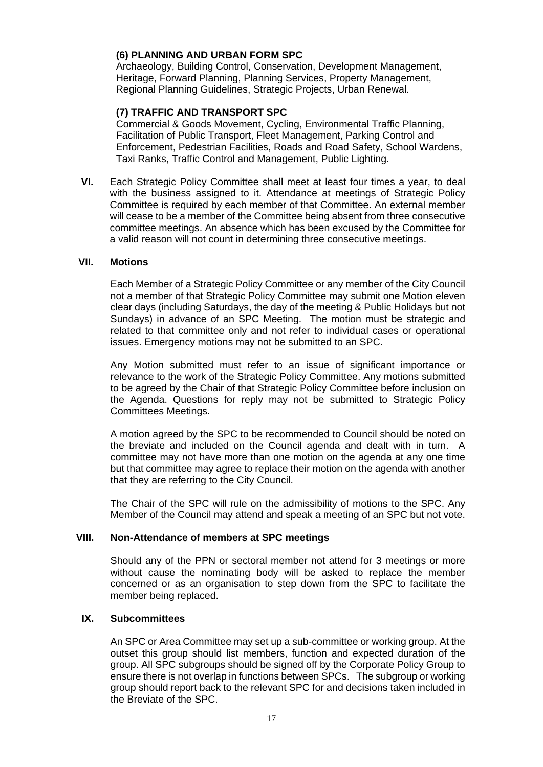### **(6) PLANNING AND URBAN FORM SPC**

Archaeology, Building Control, Conservation, Development Management, Heritage, Forward Planning, Planning Services, Property Management, Regional Planning Guidelines, Strategic Projects, Urban Renewal.

# **(7) TRAFFIC AND TRANSPORT SPC**

Commercial & Goods Movement, Cycling, Environmental Traffic Planning, Facilitation of Public Transport, Fleet Management, Parking Control and Enforcement, Pedestrian Facilities, Roads and Road Safety, School Wardens, Taxi Ranks, Traffic Control and Management, Public Lighting.

**VI.** Each Strategic Policy Committee shall meet at least four times a year, to deal with the business assigned to it. Attendance at meetings of Strategic Policy Committee is required by each member of that Committee. An external member will cease to be a member of the Committee being absent from three consecutive committee meetings. An absence which has been excused by the Committee for a valid reason will not count in determining three consecutive meetings.

#### **VII. Motions**

Each Member of a Strategic Policy Committee or any member of the City Council not a member of that Strategic Policy Committee may submit one Motion eleven clear days (including Saturdays, the day of the meeting & Public Holidays but not Sundays) in advance of an SPC Meeting. The motion must be strategic and related to that committee only and not refer to individual cases or operational issues. Emergency motions may not be submitted to an SPC.

Any Motion submitted must refer to an issue of significant importance or relevance to the work of the Strategic Policy Committee. Any motions submitted to be agreed by the Chair of that Strategic Policy Committee before inclusion on the Agenda. Questions for reply may not be submitted to Strategic Policy Committees Meetings.

A motion agreed by the SPC to be recommended to Council should be noted on the breviate and included on the Council agenda and dealt with in turn. A committee may not have more than one motion on the agenda at any one time but that committee may agree to replace their motion on the agenda with another that they are referring to the City Council.

The Chair of the SPC will rule on the admissibility of motions to the SPC. Any Member of the Council may attend and speak a meeting of an SPC but not vote.

### **VIII. Non-Attendance of members at SPC meetings**

Should any of the PPN or sectoral member not attend for 3 meetings or more without cause the nominating body will be asked to replace the member concerned or as an organisation to step down from the SPC to facilitate the member being replaced.

#### **IX. Subcommittees**

An SPC or Area Committee may set up a sub-committee or working group. At the outset this group should list members, function and expected duration of the group. All SPC subgroups should be signed off by the Corporate Policy Group to ensure there is not overlap in functions between SPCs. The subgroup or working group should report back to the relevant SPC for and decisions taken included in the Breviate of the SPC.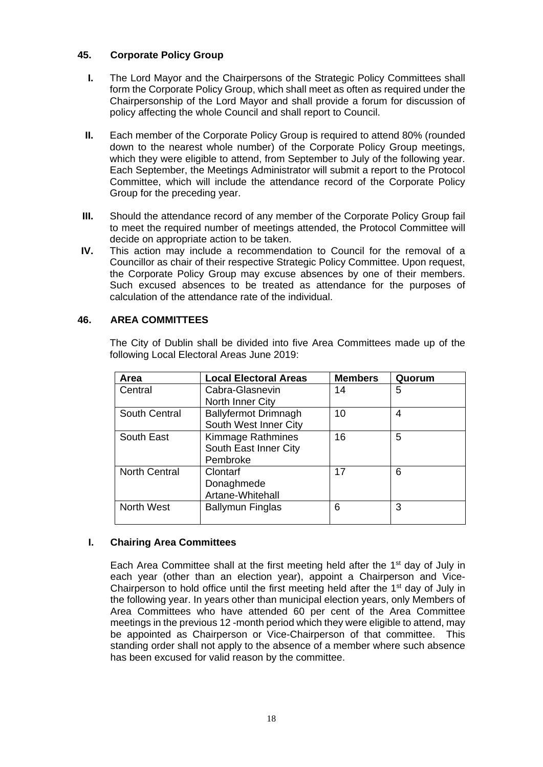# **45. Corporate Policy Group**

- **I.** The Lord Mayor and the Chairpersons of the Strategic Policy Committees shall form the Corporate Policy Group, which shall meet as often as required under the Chairpersonship of the Lord Mayor and shall provide a forum for discussion of policy affecting the whole Council and shall report to Council.
- **II.** Each member of the Corporate Policy Group is required to attend 80% (rounded down to the nearest whole number) of the Corporate Policy Group meetings, which they were eligible to attend, from September to July of the following year. Each September, the Meetings Administrator will submit a report to the Protocol Committee, which will include the attendance record of the Corporate Policy Group for the preceding year.
- **III.** Should the attendance record of any member of the Corporate Policy Group fail to meet the required number of meetings attended, the Protocol Committee will decide on appropriate action to be taken.
- **IV.** This action may include a recommendation to Council for the removal of a Councillor as chair of their respective Strategic Policy Committee. Upon request, the Corporate Policy Group may excuse absences by one of their members. Such excused absences to be treated as attendance for the purposes of calculation of the attendance rate of the individual.

### **46. AREA COMMITTEES**

The City of Dublin shall be divided into five Area Committees made up of the following Local Electoral Areas June 2019:

| Area                 | <b>Local Electoral Areas</b> | <b>Members</b> | Quorum |
|----------------------|------------------------------|----------------|--------|
| Central              | Cabra-Glasnevin              | 14             | 5      |
|                      | North Inner City             |                |        |
| South Central        | <b>Ballyfermot Drimnagh</b>  | 10             | 4      |
|                      | South West Inner City        |                |        |
| South East           | <b>Kimmage Rathmines</b>     | 16             | 5      |
|                      | South East Inner City        |                |        |
|                      | Pembroke                     |                |        |
| <b>North Central</b> | Clontarf                     | 17             | 6      |
|                      | Donaghmede                   |                |        |
|                      | Artane-Whitehall             |                |        |
| North West           | <b>Ballymun Finglas</b>      | 6              | 3      |
|                      |                              |                |        |

### **I. Chairing Area Committees**

Each Area Committee shall at the first meeting held after the 1st day of July in each year (other than an election year), appoint a Chairperson and Vice-Chairperson to hold office until the first meeting held after the  $1<sup>st</sup>$  day of July in the following year. In years other than municipal election years, only Members of Area Committees who have attended 60 per cent of the Area Committee meetings in the previous 12 -month period which they were eligible to attend, may be appointed as Chairperson or Vice-Chairperson of that committee. This standing order shall not apply to the absence of a member where such absence has been excused for valid reason by the committee.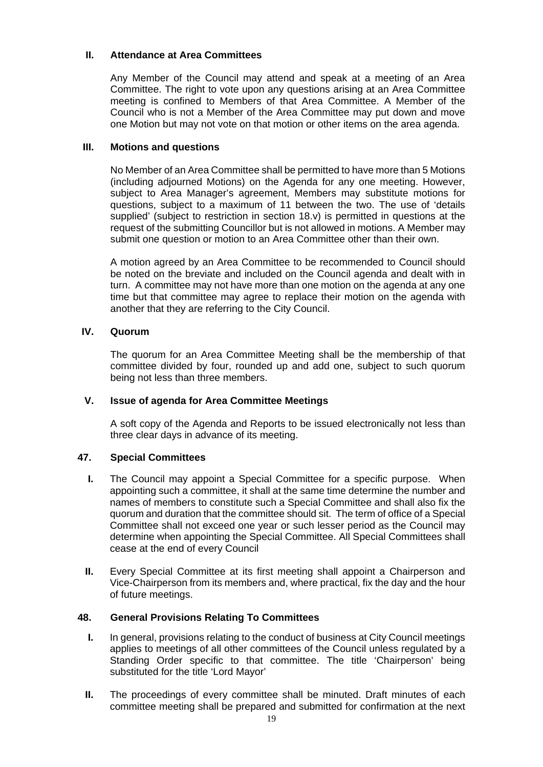# **II. Attendance at Area Committees**

Any Member of the Council may attend and speak at a meeting of an Area Committee. The right to vote upon any questions arising at an Area Committee meeting is confined to Members of that Area Committee. A Member of the Council who is not a Member of the Area Committee may put down and move one Motion but may not vote on that motion or other items on the area agenda.

# **III. Motions and questions**

No Member of an Area Committee shall be permitted to have more than 5 Motions (including adjourned Motions) on the Agenda for any one meeting. However, subject to Area Manager's agreement, Members may substitute motions for questions, subject to a maximum of 11 between the two. The use of 'details supplied' (subject to restriction in section 18.v) is permitted in questions at the request of the submitting Councillor but is not allowed in motions. A Member may submit one question or motion to an Area Committee other than their own.

A motion agreed by an Area Committee to be recommended to Council should be noted on the breviate and included on the Council agenda and dealt with in turn. A committee may not have more than one motion on the agenda at any one time but that committee may agree to replace their motion on the agenda with another that they are referring to the City Council.

# **IV. Quorum**

The quorum for an Area Committee Meeting shall be the membership of that committee divided by four, rounded up and add one, subject to such quorum being not less than three members.

### **V. Issue of agenda for Area Committee Meetings**

A soft copy of the Agenda and Reports to be issued electronically not less than three clear days in advance of its meeting.

### **47. Special Committees**

- **I.** The Council may appoint a Special Committee for a specific purpose. When appointing such a committee, it shall at the same time determine the number and names of members to constitute such a Special Committee and shall also fix the quorum and duration that the committee should sit. The term of office of a Special Committee shall not exceed one year or such lesser period as the Council may determine when appointing the Special Committee. All Special Committees shall cease at the end of every Council
- **II.** Every Special Committee at its first meeting shall appoint a Chairperson and Vice-Chairperson from its members and, where practical, fix the day and the hour of future meetings.

### **48. General Provisions Relating To Committees**

- **I.** In general, provisions relating to the conduct of business at City Council meetings applies to meetings of all other committees of the Council unless regulated by a Standing Order specific to that committee. The title 'Chairperson' being substituted for the title 'Lord Mayor'
- **II.** The proceedings of every committee shall be minuted. Draft minutes of each committee meeting shall be prepared and submitted for confirmation at the next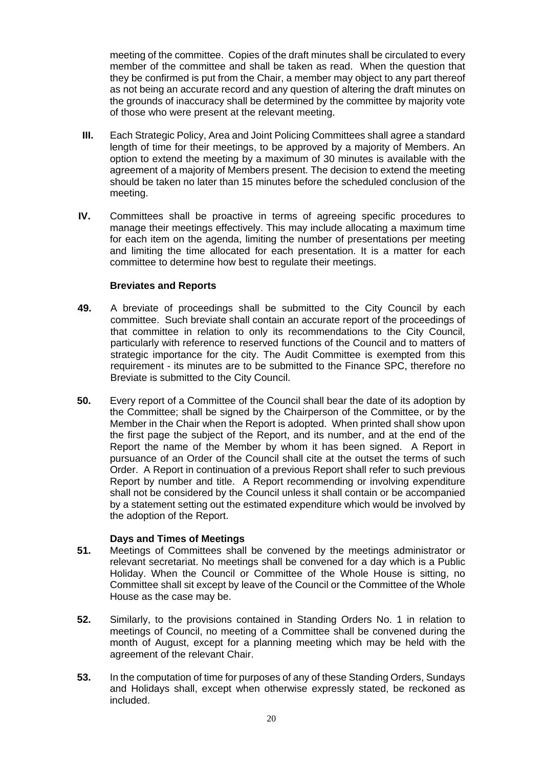meeting of the committee. Copies of the draft minutes shall be circulated to every member of the committee and shall be taken as read. When the question that they be confirmed is put from the Chair, a member may object to any part thereof as not being an accurate record and any question of altering the draft minutes on the grounds of inaccuracy shall be determined by the committee by majority vote of those who were present at the relevant meeting.

- **III.** Each Strategic Policy, Area and Joint Policing Committees shall agree a standard length of time for their meetings, to be approved by a majority of Members. An option to extend the meeting by a maximum of 30 minutes is available with the agreement of a majority of Members present. The decision to extend the meeting should be taken no later than 15 minutes before the scheduled conclusion of the meeting.
- **IV.** Committees shall be proactive in terms of agreeing specific procedures to manage their meetings effectively. This may include allocating a maximum time for each item on the agenda, limiting the number of presentations per meeting and limiting the time allocated for each presentation. It is a matter for each committee to determine how best to regulate their meetings.

### **Breviates and Reports**

- **49.** A breviate of proceedings shall be submitted to the City Council by each committee. Such breviate shall contain an accurate report of the proceedings of that committee in relation to only its recommendations to the City Council, particularly with reference to reserved functions of the Council and to matters of strategic importance for the city. The Audit Committee is exempted from this requirement - its minutes are to be submitted to the Finance SPC, therefore no Breviate is submitted to the City Council.
- **50.** Every report of a Committee of the Council shall bear the date of its adoption by the Committee; shall be signed by the Chairperson of the Committee, or by the Member in the Chair when the Report is adopted. When printed shall show upon the first page the subject of the Report, and its number, and at the end of the Report the name of the Member by whom it has been signed. A Report in pursuance of an Order of the Council shall cite at the outset the terms of such Order. A Report in continuation of a previous Report shall refer to such previous Report by number and title. A Report recommending or involving expenditure shall not be considered by the Council unless it shall contain or be accompanied by a statement setting out the estimated expenditure which would be involved by the adoption of the Report.

### **Days and Times of Meetings**

- **51.** Meetings of Committees shall be convened by the meetings administrator or relevant secretariat. No meetings shall be convened for a day which is a Public Holiday. When the Council or Committee of the Whole House is sitting, no Committee shall sit except by leave of the Council or the Committee of the Whole House as the case may be.
- **52.** Similarly, to the provisions contained in Standing Orders No. 1 in relation to meetings of Council, no meeting of a Committee shall be convened during the month of August, except for a planning meeting which may be held with the agreement of the relevant Chair.
- **53.** In the computation of time for purposes of any of these Standing Orders, Sundays and Holidays shall, except when otherwise expressly stated, be reckoned as included.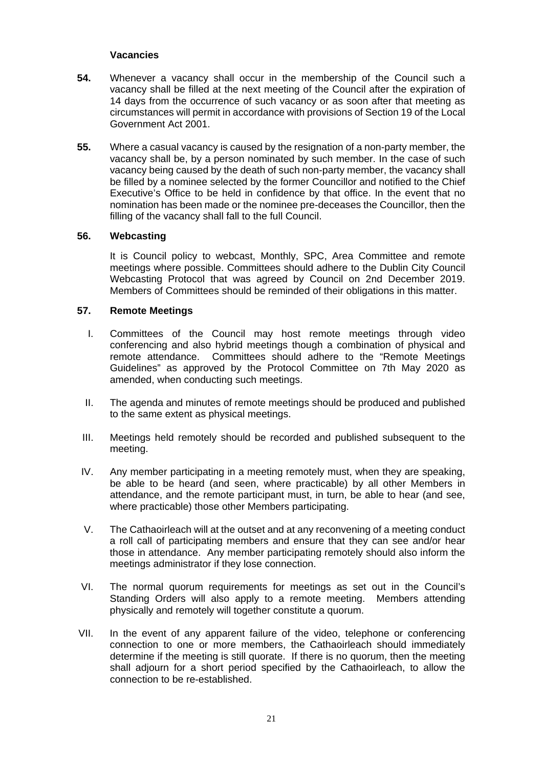### **Vacancies**

- **54.** Whenever a vacancy shall occur in the membership of the Council such a vacancy shall be filled at the next meeting of the Council after the expiration of 14 days from the occurrence of such vacancy or as soon after that meeting as circumstances will permit in accordance with provisions of Section 19 of the Local Government Act 2001.
- **55.** Where a casual vacancy is caused by the resignation of a non-party member, the vacancy shall be, by a person nominated by such member. In the case of such vacancy being caused by the death of such non-party member, the vacancy shall be filled by a nominee selected by the former Councillor and notified to the Chief Executive's Office to be held in confidence by that office. In the event that no nomination has been made or the nominee pre-deceases the Councillor, then the filling of the vacancy shall fall to the full Council.

### **56. Webcasting**

It is Council policy to webcast, Monthly, SPC, Area Committee and remote meetings where possible. Committees should adhere to the Dublin City Council Webcasting Protocol that was agreed by Council on 2nd December 2019. Members of Committees should be reminded of their obligations in this matter.

#### **57. Remote Meetings**

- I. Committees of the Council may host remote meetings through video conferencing and also hybrid meetings though a combination of physical and remote attendance. Committees should adhere to the "Remote Meetings Guidelines" as approved by the Protocol Committee on 7th May 2020 as amended, when conducting such meetings.
- II. The agenda and minutes of remote meetings should be produced and published to the same extent as physical meetings.
- III. Meetings held remotely should be recorded and published subsequent to the meeting.
- IV. Any member participating in a meeting remotely must, when they are speaking, be able to be heard (and seen, where practicable) by all other Members in attendance, and the remote participant must, in turn, be able to hear (and see, where practicable) those other Members participating.
- V. The Cathaoirleach will at the outset and at any reconvening of a meeting conduct a roll call of participating members and ensure that they can see and/or hear those in attendance. Any member participating remotely should also inform the meetings administrator if they lose connection.
- VI. The normal quorum requirements for meetings as set out in the Council's Standing Orders will also apply to a remote meeting. Members attending physically and remotely will together constitute a quorum.
- VII. In the event of any apparent failure of the video, telephone or conferencing connection to one or more members, the Cathaoirleach should immediately determine if the meeting is still quorate. If there is no quorum, then the meeting shall adjourn for a short period specified by the Cathaoirleach, to allow the connection to be re-established.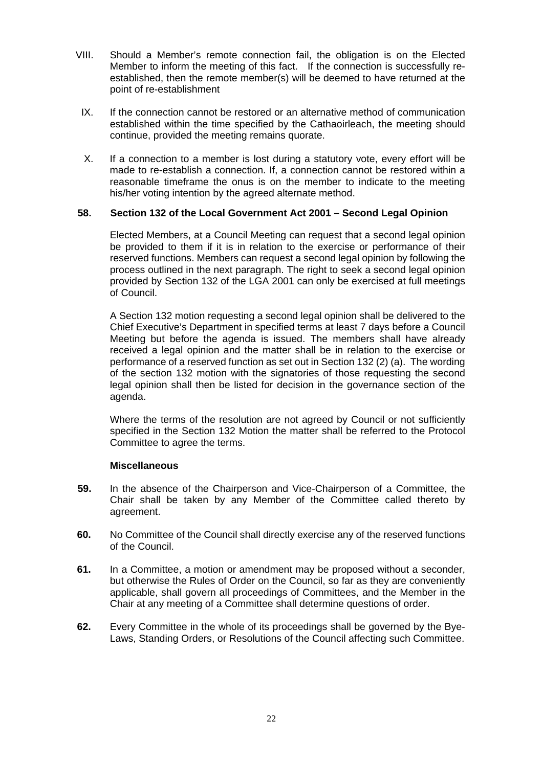- VIII. Should a Member's remote connection fail, the obligation is on the Elected Member to inform the meeting of this fact. If the connection is successfully reestablished, then the remote member(s) will be deemed to have returned at the point of re-establishment
- IX. If the connection cannot be restored or an alternative method of communication established within the time specified by the Cathaoirleach, the meeting should continue, provided the meeting remains quorate.
- X. If a connection to a member is lost during a statutory vote, every effort will be made to re-establish a connection. If, a connection cannot be restored within a reasonable timeframe the onus is on the member to indicate to the meeting his/her voting intention by the agreed alternate method.

# **58. Section 132 of the Local Government Act 2001 – Second Legal Opinion**

Elected Members, at a Council Meeting can request that a second legal opinion be provided to them if it is in relation to the exercise or performance of their reserved functions. Members can request a second legal opinion by following the process outlined in the next paragraph. The right to seek a second legal opinion provided by Section 132 of the LGA 2001 can only be exercised at full meetings of Council.

A Section 132 motion requesting a second legal opinion shall be delivered to the Chief Executive's Department in specified terms at least 7 days before a Council Meeting but before the agenda is issued. The members shall have already received a legal opinion and the matter shall be in relation to the exercise or performance of a reserved function as set out in Section 132 (2) (a). The wording of the section 132 motion with the signatories of those requesting the second legal opinion shall then be listed for decision in the governance section of the agenda.

Where the terms of the resolution are not agreed by Council or not sufficiently specified in the Section 132 Motion the matter shall be referred to the Protocol Committee to agree the terms.

### **Miscellaneous**

- **59.** In the absence of the Chairperson and Vice-Chairperson of a Committee, the Chair shall be taken by any Member of the Committee called thereto by agreement.
- **60.** No Committee of the Council shall directly exercise any of the reserved functions of the Council.
- **61.** In a Committee, a motion or amendment may be proposed without a seconder, but otherwise the Rules of Order on the Council, so far as they are conveniently applicable, shall govern all proceedings of Committees, and the Member in the Chair at any meeting of a Committee shall determine questions of order.
- **62.** Every Committee in the whole of its proceedings shall be governed by the Bye-Laws, Standing Orders, or Resolutions of the Council affecting such Committee.